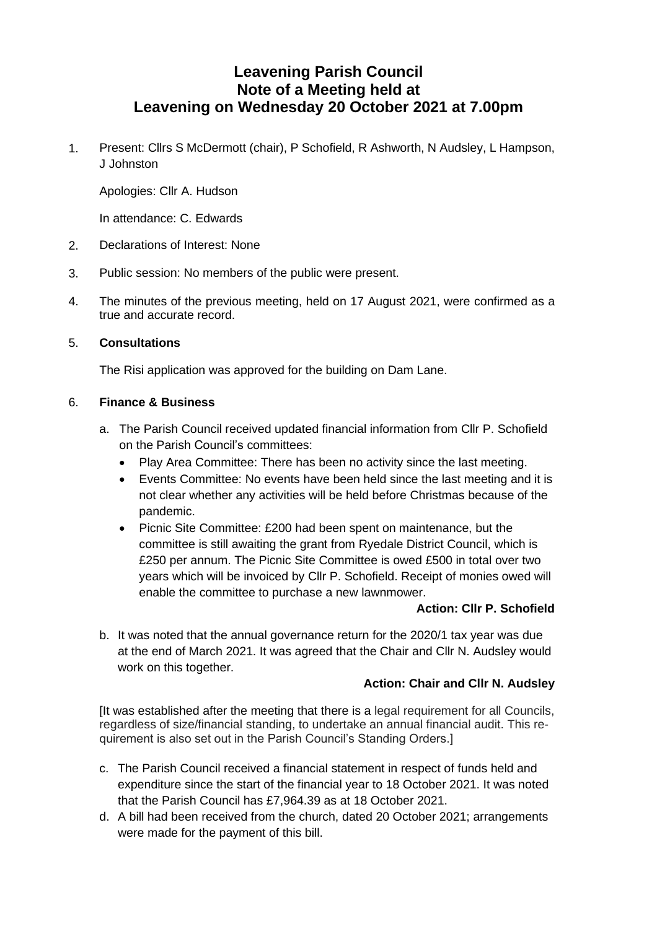# **Leavening Parish Council Note of a Meeting held at Leavening on Wednesday 20 October 2021 at 7.00pm**

1. Present: Cllrs S McDermott (chair), P Schofield, R Ashworth, N Audsley, L Hampson, J Johnston

Apologies: Cllr A. Hudson

In attendance: C. Edwards

- 2. Declarations of Interest: None
- 3. Public session: No members of the public were present.
- 4. The minutes of the previous meeting, held on 17 August 2021, were confirmed as a true and accurate record.

## 5. **Consultations**

The Risi application was approved for the building on Dam Lane.

## 6. **Finance & Business**

- a. The Parish Council received updated financial information from Cllr P. Schofield on the Parish Council's committees:
	- Play Area Committee: There has been no activity since the last meeting.
	- Events Committee: No events have been held since the last meeting and it is not clear whether any activities will be held before Christmas because of the pandemic.
	- Picnic Site Committee: £200 had been spent on maintenance, but the committee is still awaiting the grant from Ryedale District Council, which is £250 per annum. The Picnic Site Committee is owed £500 in total over two years which will be invoiced by Cllr P. Schofield. Receipt of monies owed will enable the committee to purchase a new lawnmower.

## **Action: Cllr P. Schofield**

b. It was noted that the annual governance return for the 2020/1 tax year was due at the end of March 2021. It was agreed that the Chair and Cllr N. Audsley would work on this together.

## **Action: Chair and Cllr N. Audsley**

[It was established after the meeting that there is a legal requirement for all Councils, regardless of size/financial standing, to undertake an annual financial audit. This requirement is also set out in the Parish Council's Standing Orders.]

- c. The Parish Council received a financial statement in respect of funds held and expenditure since the start of the financial year to 18 October 2021. It was noted that the Parish Council has £7,964.39 as at 18 October 2021.
- d. A bill had been received from the church, dated 20 October 2021; arrangements were made for the payment of this bill.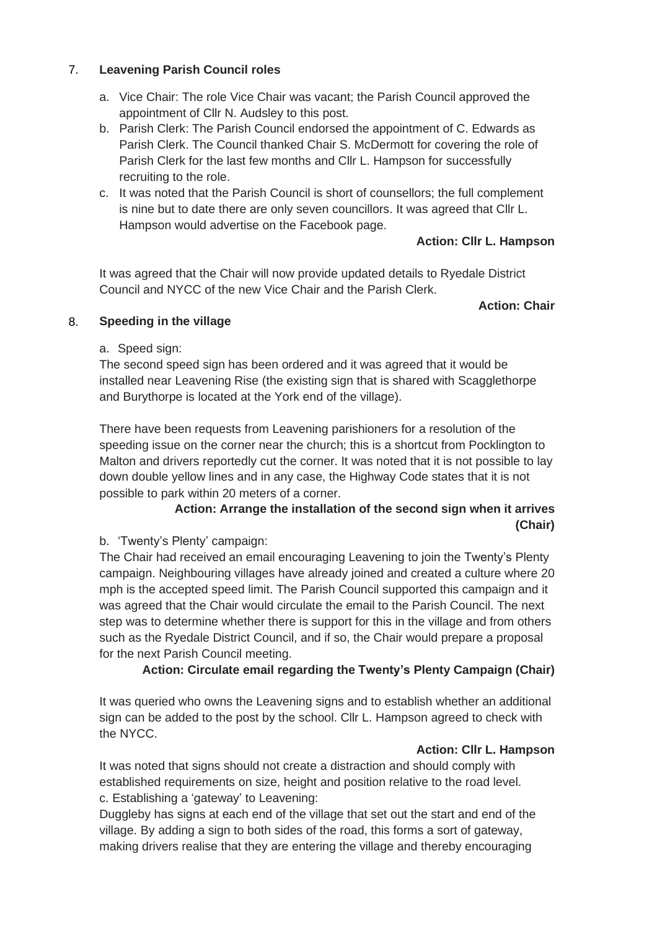## 7. **Leavening Parish Council roles**

- a. Vice Chair: The role Vice Chair was vacant; the Parish Council approved the appointment of Cllr N. Audsley to this post.
- b. Parish Clerk: The Parish Council endorsed the appointment of C. Edwards as Parish Clerk. The Council thanked Chair S. McDermott for covering the role of Parish Clerk for the last few months and Cllr L. Hampson for successfully recruiting to the role.
- c. It was noted that the Parish Council is short of counsellors; the full complement is nine but to date there are only seven councillors. It was agreed that Cllr L. Hampson would advertise on the Facebook page.

## **Action: Cllr L. Hampson**

It was agreed that the Chair will now provide updated details to Ryedale District Council and NYCC of the new Vice Chair and the Parish Clerk.

**Action: Chair**

## 8. **Speeding in the village**

## a. Speed sign:

The second speed sign has been ordered and it was agreed that it would be installed near Leavening Rise (the existing sign that is shared with Scagglethorpe and Burythorpe is located at the York end of the village).

There have been requests from Leavening parishioners for a resolution of the speeding issue on the corner near the church; this is a shortcut from Pocklington to Malton and drivers reportedly cut the corner. It was noted that it is not possible to lay down double yellow lines and in any case, the Highway Code states that it is not possible to park within 20 meters of a corner.

## **Action: Arrange the installation of the second sign when it arrives (Chair)**

b. 'Twenty's Plenty' campaign:

The Chair had received an email encouraging Leavening to join the Twenty's Plenty campaign. Neighbouring villages have already joined and created a culture where 20 mph is the accepted speed limit. The Parish Council supported this campaign and it was agreed that the Chair would circulate the email to the Parish Council. The next step was to determine whether there is support for this in the village and from others such as the Ryedale District Council, and if so, the Chair would prepare a proposal for the next Parish Council meeting.

## **Action: Circulate email regarding the Twenty's Plenty Campaign (Chair)**

It was queried who owns the Leavening signs and to establish whether an additional sign can be added to the post by the school. Cllr L. Hampson agreed to check with the NYCC.

## **Action: Cllr L. Hampson**

It was noted that signs should not create a distraction and should comply with established requirements on size, height and position relative to the road level. c. Establishing a 'gateway' to Leavening:

Duggleby has signs at each end of the village that set out the start and end of the village. By adding a sign to both sides of the road, this forms a sort of gateway, making drivers realise that they are entering the village and thereby encouraging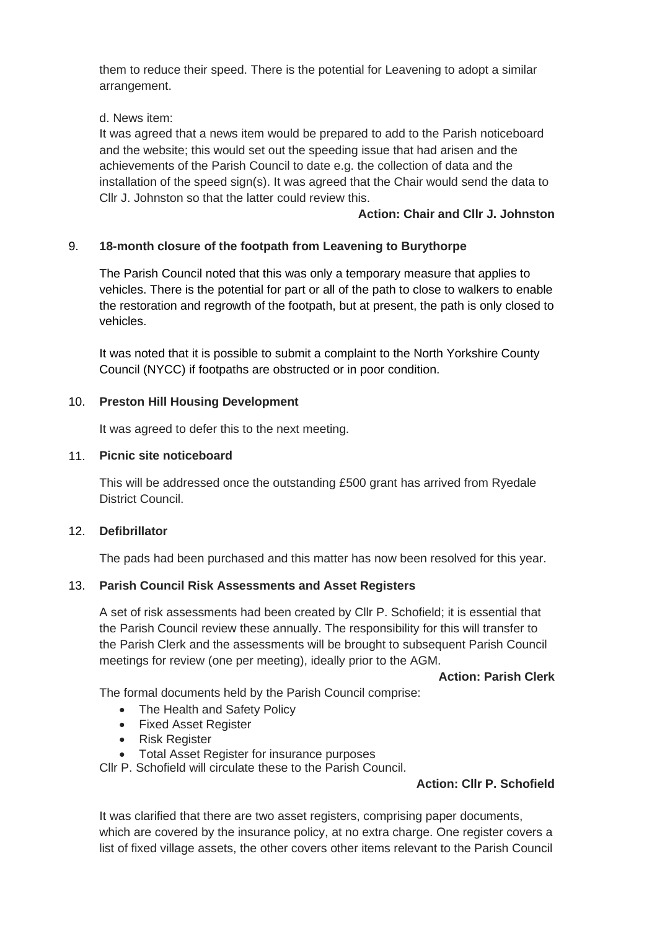them to reduce their speed. There is the potential for Leavening to adopt a similar arrangement.

d. News item:

It was agreed that a news item would be prepared to add to the Parish noticeboard and the website; this would set out the speeding issue that had arisen and the achievements of the Parish Council to date e.g. the collection of data and the installation of the speed sign(s). It was agreed that the Chair would send the data to Cllr J. Johnston so that the latter could review this.

## **Action: Chair and Cllr J. Johnston**

## 9. **18-month closure of the footpath from Leavening to Burythorpe**

The Parish Council noted that this was only a temporary measure that applies to vehicles. There is the potential for part or all of the path to close to walkers to enable the restoration and regrowth of the footpath, but at present, the path is only closed to vehicles.

It was noted that it is possible to submit a complaint to the North Yorkshire County Council (NYCC) if footpaths are obstructed or in poor condition.

#### 10. **Preston Hill Housing Development**

It was agreed to defer this to the next meeting.

#### 11. **Picnic site noticeboard**

This will be addressed once the outstanding £500 grant has arrived from Ryedale District Council.

#### 12. **Defibrillator**

The pads had been purchased and this matter has now been resolved for this year.

#### 13. **Parish Council Risk Assessments and Asset Registers**

A set of risk assessments had been created by Cllr P. Schofield; it is essential that the Parish Council review these annually. The responsibility for this will transfer to the Parish Clerk and the assessments will be brought to subsequent Parish Council meetings for review (one per meeting), ideally prior to the AGM.

### **Action: Parish Clerk**

The formal documents held by the Parish Council comprise:

- The Health and Safety Policy
- Fixed Asset Register
- Risk Register
- Total Asset Register for insurance purposes

Cllr P. Schofield will circulate these to the Parish Council.

#### **Action: Cllr P. Schofield**

It was clarified that there are two asset registers, comprising paper documents, which are covered by the insurance policy, at no extra charge. One register covers a list of fixed village assets, the other covers other items relevant to the Parish Council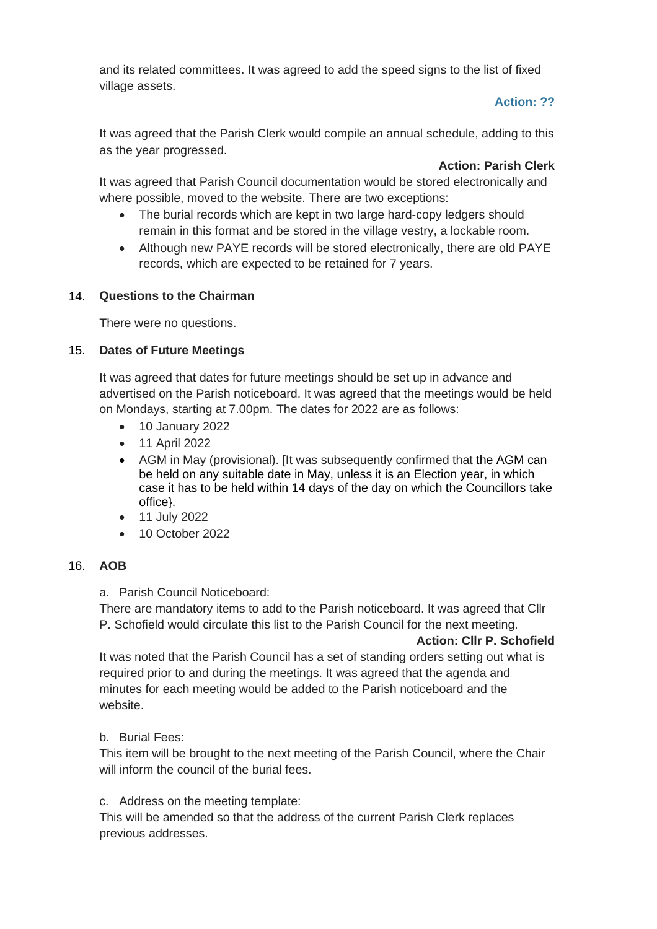and its related committees. It was agreed to add the speed signs to the list of fixed village assets.

## **Action: ??**

It was agreed that the Parish Clerk would compile an annual schedule, adding to this as the year progressed.

## **Action: Parish Clerk**

It was agreed that Parish Council documentation would be stored electronically and where possible, moved to the website. There are two exceptions:

- The burial records which are kept in two large hard-copy ledgers should remain in this format and be stored in the village vestry, a lockable room.
- Although new PAYE records will be stored electronically, there are old PAYE records, which are expected to be retained for 7 years.

## 14. **Questions to the Chairman**

There were no questions.

## 15. **Dates of Future Meetings**

It was agreed that dates for future meetings should be set up in advance and advertised on the Parish noticeboard. It was agreed that the meetings would be held on Mondays, starting at 7.00pm. The dates for 2022 are as follows:

- 10 January 2022
- 11 April 2022
- AGM in May (provisional). [It was subsequently confirmed that the AGM can be held on any suitable date in May, unless it is an Election year, in which case it has to be held within 14 days of the day on which the Councillors take office}.
- 11 July 2022
- 10 October 2022

## 16. **AOB**

a. Parish Council Noticeboard:

There are mandatory items to add to the Parish noticeboard. It was agreed that Cllr P. Schofield would circulate this list to the Parish Council for the next meeting.

#### **Action: Cllr P. Schofield**

It was noted that the Parish Council has a set of standing orders setting out what is required prior to and during the meetings. It was agreed that the agenda and minutes for each meeting would be added to the Parish noticeboard and the website.

## b. Burial Fees:

This item will be brought to the next meeting of the Parish Council, where the Chair will inform the council of the burial fees.

c. Address on the meeting template:

This will be amended so that the address of the current Parish Clerk replaces previous addresses.